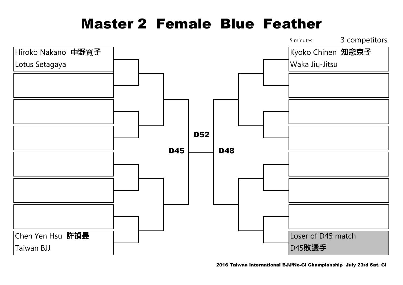#### Master 2 Female Blue Feather

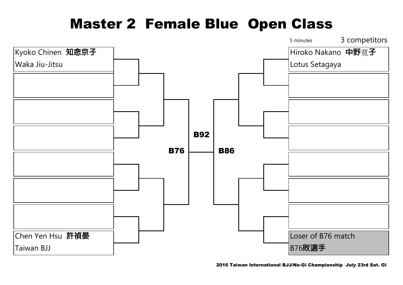# Master 2 Female Blue Open Class

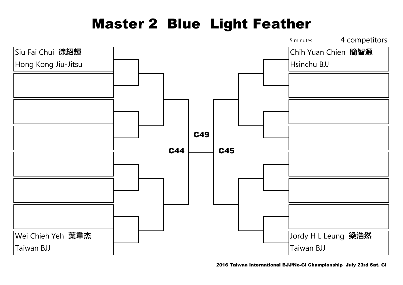# Master 2 Blue Light Feather

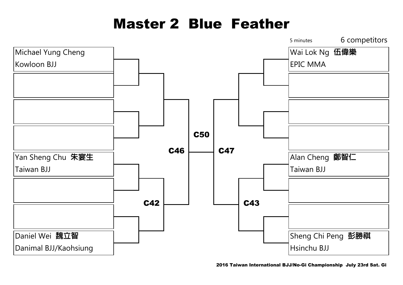# Master 2 Blue Feather

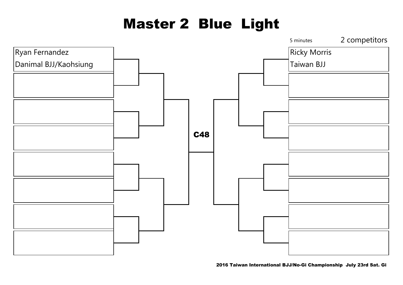# Master 2 Blue Light

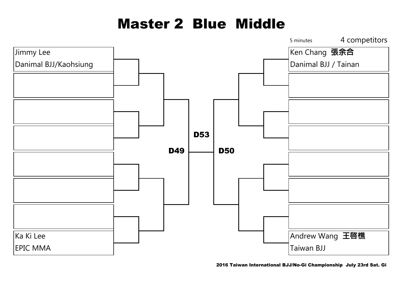# Master 2 Blue Middle